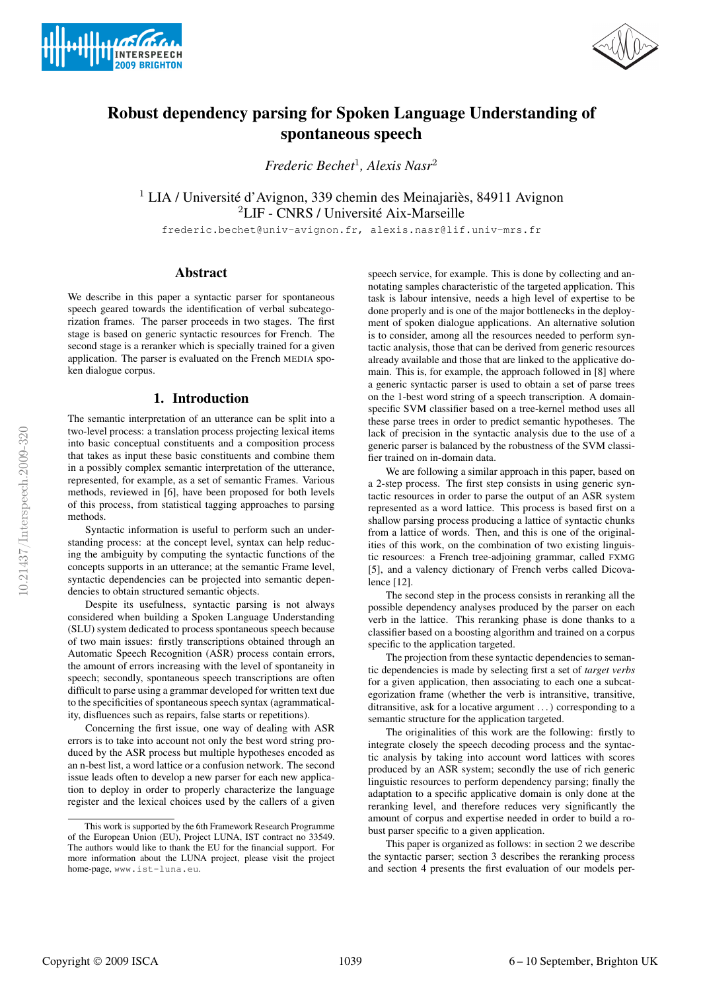



# Robust dependency parsing for Spoken Language Understanding of spontaneous speech

*Frederic Bechet*<sup>1</sup> *, Alexis Nasr*<sup>2</sup>

<sup>1</sup> LIA / Université d'Avignon, 339 chemin des Meinajariès, 84911 Avignon <sup>2</sup>LIF - CNRS / Université Aix-Marseille

frederic.bechet@univ-avignon.fr, alexis.nasr@lif.univ-mrs.fr

# Abstract

We describe in this paper a syntactic parser for spontaneous speech geared towards the identification of verbal subcategorization frames. The parser proceeds in two stages. The first stage is based on generic syntactic resources for French. The second stage is a reranker which is specially trained for a given application. The parser is evaluated on the French MEDIA spoken dialogue corpus.

# 1. Introduction

The semantic interpretation of an utterance can be split into a two-level process: a translation process projecting lexical items into basic conceptual constituents and a composition process that takes as input these basic constituents and combine them in a possibly complex semantic interpretation of the utterance, represented, for example, as a set of semantic Frames. Various methods, reviewed in [6], have been proposed for both levels of this process, from statistical tagging approaches to parsing methods.

Syntactic information is useful to perform such an understanding process: at the concept level, syntax can help reducing the ambiguity by computing the syntactic functions of the concepts supports in an utterance; at the semantic Frame level, syntactic dependencies can be projected into semantic dependencies to obtain structured semantic objects.

Despite its usefulness, syntactic parsing is not always considered when building a Spoken Language Understanding (SLU) system dedicated to process spontaneous speech because of two main issues: firstly transcriptions obtained through an Automatic Speech Recognition (ASR) process contain errors, the amount of errors increasing with the level of spontaneity in speech; secondly, spontaneous speech transcriptions are often difficult to parse using a grammar developed for written text due to the specificities of spontaneous speech syntax (agrammaticality, disfluences such as repairs, false starts or repetitions).

Concerning the first issue, one way of dealing with ASR errors is to take into account not only the best word string produced by the ASR process but multiple hypotheses encoded as an n-best list, a word lattice or a confusion network. The second issue leads often to develop a new parser for each new application to deploy in order to properly characterize the language register and the lexical choices used by the callers of a given

speech service, for example. This is done by collecting and annotating samples characteristic of the targeted application. This task is labour intensive, needs a high level of expertise to be done properly and is one of the major bottlenecks in the deployment of spoken dialogue applications. An alternative solution is to consider, among all the resources needed to perform syntactic analysis, those that can be derived from generic resources already available and those that are linked to the applicative domain. This is, for example, the approach followed in [8] where a generic syntactic parser is used to obtain a set of parse trees on the 1-best word string of a speech transcription. A domainspecific SVM classifier based on a tree-kernel method uses all these parse trees in order to predict semantic hypotheses. The lack of precision in the syntactic analysis due to the use of a generic parser is balanced by the robustness of the SVM classifier trained on in-domain data.

We are following a similar approach in this paper, based on a 2-step process. The first step consists in using generic syntactic resources in order to parse the output of an ASR system represented as a word lattice. This process is based first on a shallow parsing process producing a lattice of syntactic chunks from a lattice of words. Then, and this is one of the originalities of this work, on the combination of two existing linguistic resources: a French tree-adjoining grammar, called FXMG [5], and a valency dictionary of French verbs called Dicovalence [12].

The second step in the process consists in reranking all the possible dependency analyses produced by the parser on each verb in the lattice. This reranking phase is done thanks to a classifier based on a boosting algorithm and trained on a corpus specific to the application targeted.

The projection from these syntactic dependencies to semantic dependencies is made by selecting first a set of *target verbs* for a given application, then associating to each one a subcategorization frame (whether the verb is intransitive, transitive, ditransitive, ask for a locative argument . . . ) corresponding to a semantic structure for the application targeted.

The originalities of this work are the following: firstly to integrate closely the speech decoding process and the syntactic analysis by taking into account word lattices with scores produced by an ASR system; secondly the use of rich generic linguistic resources to perform dependency parsing; finally the adaptation to a specific applicative domain is only done at the reranking level, and therefore reduces very significantly the amount of corpus and expertise needed in order to build a robust parser specific to a given application.

This paper is organized as follows: in section 2 we describe the syntactic parser; section 3 describes the reranking process and section 4 presents the first evaluation of our models per-

This work is supported by the 6th Framework Research Programme of the European Union (EU), Project LUNA, IST contract no 33549. The authors would like to thank the EU for the financial support. For more information about the LUNA project, please visit the project home-page, www.ist-luna.eu.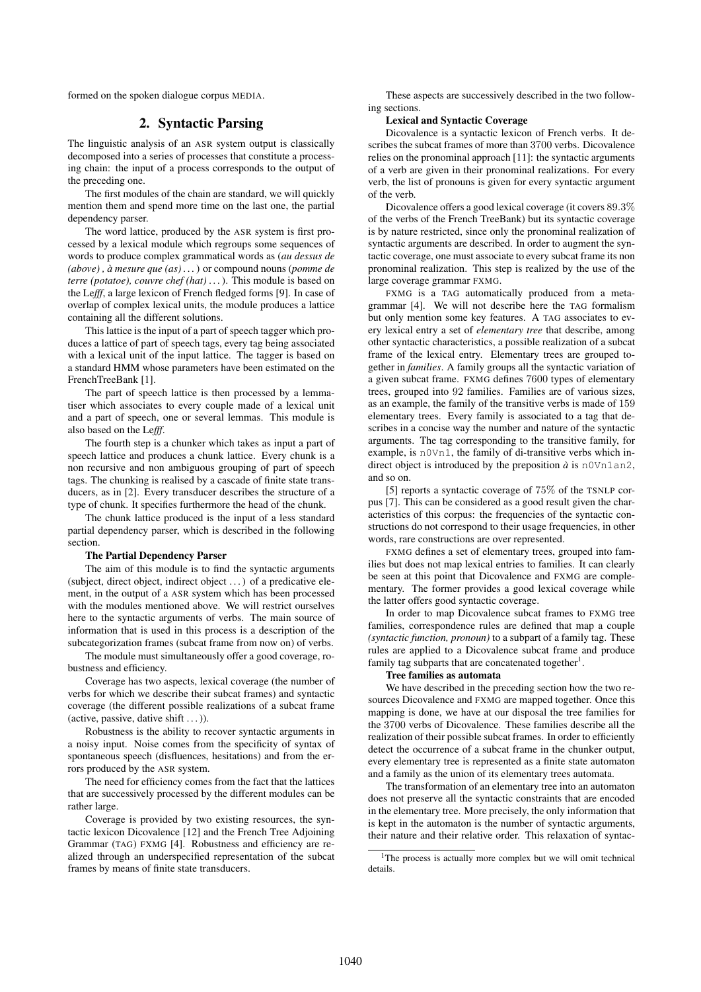formed on the spoken dialogue corpus MEDIA.

## 2. Syntactic Parsing

The linguistic analysis of an ASR system output is classically decomposed into a series of processes that constitute a processing chain: the input of a process corresponds to the output of the preceding one.

The first modules of the chain are standard, we will quickly mention them and spend more time on the last one, the partial dependency parser.

The word lattice, produced by the ASR system is first processed by a lexical module which regroups some sequences of words to produce complex grammatical words as (*au dessus de (above) , à mesure que (as) . . .*) or compound nouns (*pomme de terre (potatoe), couvre chef (hat) . . .*). This module is based on the Le*fff*, a large lexicon of French fledged forms [9]. In case of overlap of complex lexical units, the module produces a lattice containing all the different solutions.

This lattice is the input of a part of speech tagger which produces a lattice of part of speech tags, every tag being associated with a lexical unit of the input lattice. The tagger is based on a standard HMM whose parameters have been estimated on the FrenchTreeBank [1].

The part of speech lattice is then processed by a lemmatiser which associates to every couple made of a lexical unit and a part of speech, one or several lemmas. This module is also based on the Le*fff*.

The fourth step is a chunker which takes as input a part of speech lattice and produces a chunk lattice. Every chunk is a non recursive and non ambiguous grouping of part of speech tags. The chunking is realised by a cascade of finite state transducers, as in [2]. Every transducer describes the structure of a type of chunk. It specifies furthermore the head of the chunk.

The chunk lattice produced is the input of a less standard partial dependency parser, which is described in the following section.

#### The Partial Dependency Parser

The aim of this module is to find the syntactic arguments (subject, direct object, indirect object . . . ) of a predicative element, in the output of a ASR system which has been processed with the modules mentioned above. We will restrict ourselves here to the syntactic arguments of verbs. The main source of information that is used in this process is a description of the subcategorization frames (subcat frame from now on) of verbs.

The module must simultaneously offer a good coverage, robustness and efficiency.

Coverage has two aspects, lexical coverage (the number of verbs for which we describe their subcat frames) and syntactic coverage (the different possible realizations of a subcat frame (active, passive, dative shift  $\dots$  )).

Robustness is the ability to recover syntactic arguments in a noisy input. Noise comes from the specificity of syntax of spontaneous speech (disfluences, hesitations) and from the errors produced by the ASR system.

The need for efficiency comes from the fact that the lattices that are successively processed by the different modules can be rather large.

Coverage is provided by two existing resources, the syntactic lexicon Dicovalence [12] and the French Tree Adjoining Grammar (TAG) FXMG [4]. Robustness and efficiency are realized through an underspecified representation of the subcat frames by means of finite state transducers.

These aspects are successively described in the two following sections.

#### Lexical and Syntactic Coverage

Dicovalence is a syntactic lexicon of French verbs. It describes the subcat frames of more than 3700 verbs. Dicovalence relies on the pronominal approach [11]: the syntactic arguments of a verb are given in their pronominal realizations. For every verb, the list of pronouns is given for every syntactic argument of the verb.

Dicovalence offers a good lexical coverage (it covers 89.3% of the verbs of the French TreeBank) but its syntactic coverage is by nature restricted, since only the pronominal realization of syntactic arguments are described. In order to augment the syntactic coverage, one must associate to every subcat frame its non pronominal realization. This step is realized by the use of the large coverage grammar FXMG.

FXMG is a TAG automatically produced from a metagrammar [4]. We will not describe here the TAG formalism but only mention some key features. A TAG associates to every lexical entry a set of *elementary tree* that describe, among other syntactic characteristics, a possible realization of a subcat frame of the lexical entry. Elementary trees are grouped together in *families*. A family groups all the syntactic variation of a given subcat frame. FXMG defines 7600 types of elementary trees, grouped into 92 families. Families are of various sizes, as an example, the family of the transitive verbs is made of 159 elementary trees. Every family is associated to a tag that describes in a concise way the number and nature of the syntactic arguments. The tag corresponding to the transitive family, for example, is n0Vn1, the family of di-transitive verbs which indirect object is introduced by the preposition  $\dot{a}$  is n0Vn1an2, and so on.

[5] reports a syntactic coverage of 75% of the TSNLP corpus [7]. This can be considered as a good result given the characteristics of this corpus: the frequencies of the syntactic constructions do not correspond to their usage frequencies, in other words, rare constructions are over represented.

FXMG defines a set of elementary trees, grouped into families but does not map lexical entries to families. It can clearly be seen at this point that Dicovalence and FXMG are complementary. The former provides a good lexical coverage while the latter offers good syntactic coverage.

In order to map Dicovalence subcat frames to FXMG tree families, correspondence rules are defined that map a couple *(syntactic function, pronoun)* to a subpart of a family tag. These rules are applied to a Dicovalence subcat frame and produce family tag subparts that are concatenated together<sup>1</sup>.

## Tree families as automata

We have described in the preceding section how the two resources Dicovalence and FXMG are mapped together. Once this mapping is done, we have at our disposal the tree families for the 3700 verbs of Dicovalence. These families describe all the realization of their possible subcat frames. In order to efficiently detect the occurrence of a subcat frame in the chunker output, every elementary tree is represented as a finite state automaton and a family as the union of its elementary trees automata.

The transformation of an elementary tree into an automaton does not preserve all the syntactic constraints that are encoded in the elementary tree. More precisely, the only information that is kept in the automaton is the number of syntactic arguments, their nature and their relative order. This relaxation of syntac-

<sup>&</sup>lt;sup>1</sup>The process is actually more complex but we will omit technical details.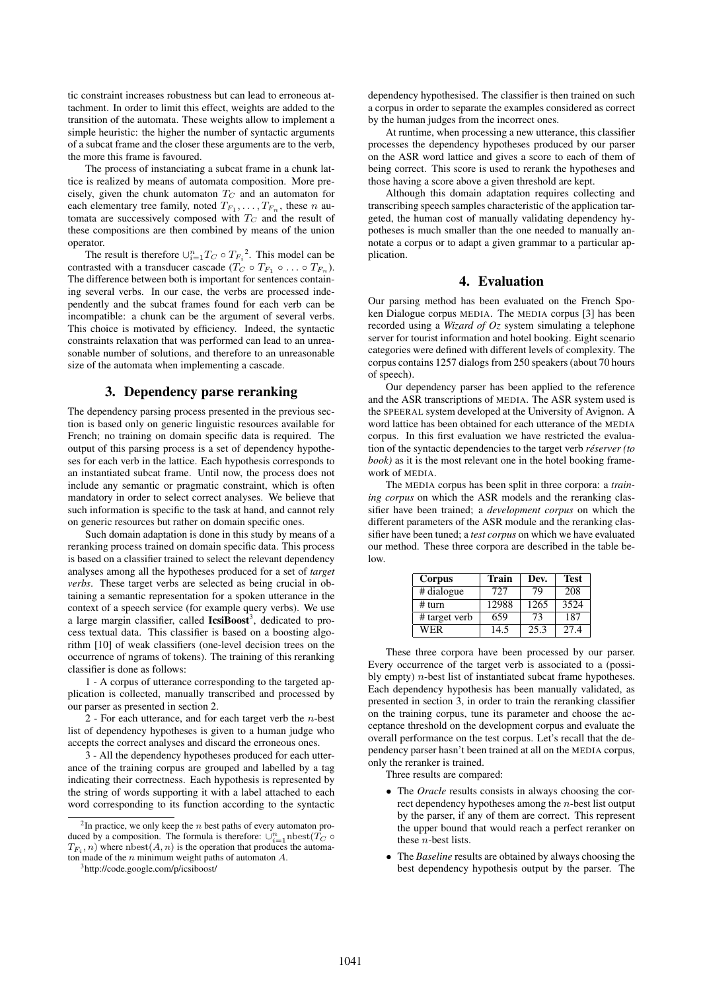tic constraint increases robustness but can lead to erroneous attachment. In order to limit this effect, weights are added to the transition of the automata. These weights allow to implement a simple heuristic: the higher the number of syntactic arguments of a subcat frame and the closer these arguments are to the verb, the more this frame is favoured.

The process of instanciating a subcat frame in a chunk lattice is realized by means of automata composition. More precisely, given the chunk automaton  $T_C$  and an automaton for each elementary tree family, noted  $T_{F_1}, \ldots, T_{F_n}$ , these n automata are successively composed with  $T_C$  and the result of these compositions are then combined by means of the union operator.

The result is therefore  $\cup_{i=1}^{n} T_C \circ T_{F_i}^2$ . This model can be contrasted with a transducer cascade ( $T_C \circ T_{F_1} \circ \ldots \circ T_{F_n}$ ). The difference between both is important for sentences containing several verbs. In our case, the verbs are processed independently and the subcat frames found for each verb can be incompatible: a chunk can be the argument of several verbs. This choice is motivated by efficiency. Indeed, the syntactic constraints relaxation that was performed can lead to an unreasonable number of solutions, and therefore to an unreasonable size of the automata when implementing a cascade.

#### 3. Dependency parse reranking

The dependency parsing process presented in the previous section is based only on generic linguistic resources available for French; no training on domain specific data is required. The output of this parsing process is a set of dependency hypotheses for each verb in the lattice. Each hypothesis corresponds to an instantiated subcat frame. Until now, the process does not include any semantic or pragmatic constraint, which is often mandatory in order to select correct analyses. We believe that such information is specific to the task at hand, and cannot rely on generic resources but rather on domain specific ones.

Such domain adaptation is done in this study by means of a reranking process trained on domain specific data. This process is based on a classifier trained to select the relevant dependency analyses among all the hypotheses produced for a set of *target verbs*. These target verbs are selected as being crucial in obtaining a semantic representation for a spoken utterance in the context of a speech service (for example query verbs). We use a large margin classifier, called IcsiBoost<sup>3</sup>, dedicated to process textual data. This classifier is based on a boosting algorithm [10] of weak classifiers (one-level decision trees on the occurrence of ngrams of tokens). The training of this reranking classifier is done as follows:

1 - A corpus of utterance corresponding to the targeted application is collected, manually transcribed and processed by our parser as presented in section 2.

2 - For each utterance, and for each target verb the  $n$ -best list of dependency hypotheses is given to a human judge who accepts the correct analyses and discard the erroneous ones.

3 - All the dependency hypotheses produced for each utterance of the training corpus are grouped and labelled by a tag indicating their correctness. Each hypothesis is represented by the string of words supporting it with a label attached to each word corresponding to its function according to the syntactic dependency hypothesised. The classifier is then trained on such a corpus in order to separate the examples considered as correct by the human judges from the incorrect ones.

At runtime, when processing a new utterance, this classifier processes the dependency hypotheses produced by our parser on the ASR word lattice and gives a score to each of them of being correct. This score is used to rerank the hypotheses and those having a score above a given threshold are kept.

Although this domain adaptation requires collecting and transcribing speech samples characteristic of the application targeted, the human cost of manually validating dependency hypotheses is much smaller than the one needed to manually annotate a corpus or to adapt a given grammar to a particular application.

# 4. Evaluation

Our parsing method has been evaluated on the French Spoken Dialogue corpus MEDIA. The MEDIA corpus [3] has been recorded using a *Wizard of Oz* system simulating a telephone server for tourist information and hotel booking. Eight scenario categories were defined with different levels of complexity. The corpus contains 1257 dialogs from 250 speakers (about 70 hours of speech).

Our dependency parser has been applied to the reference and the ASR transcriptions of MEDIA. The ASR system used is the SPEERAL system developed at the University of Avignon. A word lattice has been obtained for each utterance of the MEDIA corpus. In this first evaluation we have restricted the evaluation of the syntactic dependencies to the target verb *réserver (to book)* as it is the most relevant one in the hotel booking framework of MEDIA.

The MEDIA corpus has been split in three corpora: a *training corpus* on which the ASR models and the reranking classifier have been trained; a *development corpus* on which the different parameters of the ASR module and the reranking classifier have been tuned; a *test corpus* on which we have evaluated our method. These three corpora are described in the table below.

| Corpus        | Train | Dev. | <b>Test</b> |
|---------------|-------|------|-------------|
| # dialogue    | 727   | 79   | 208         |
| # turn        | 12988 | 1265 | 3524        |
| # target verb | 659   | 73   | 187         |
| WER           | 14.5  | 25.3 | 27.4        |

These three corpora have been processed by our parser. Every occurrence of the target verb is associated to a (possibly empty)  $n$ -best list of instantiated subcat frame hypotheses. Each dependency hypothesis has been manually validated, as presented in section 3, in order to train the reranking classifier on the training corpus, tune its parameter and choose the acceptance threshold on the development corpus and evaluate the overall performance on the test corpus. Let's recall that the dependency parser hasn't been trained at all on the MEDIA corpus, only the reranker is trained.

Three results are compared:

- The *Oracle* results consists in always choosing the correct dependency hypotheses among the n-best list output by the parser, if any of them are correct. This represent the upper bound that would reach a perfect reranker on these n-best lists.
- The *Baseline* results are obtained by always choosing the best dependency hypothesis output by the parser. The

 $2$ In practice, we only keep the *n* best paths of every automaton produced by a composition. The formula is therefore:  $\cup_{i=1}^n \text{nbest}(T_C \circ$  $T_{F_i}, n)$  where  $\text{nbest}(A, n)$  is the operation that produces the automaton made of the  $n$  minimum weight paths of automaton  $A$ .

<sup>3</sup>http://code.google.com/p/icsiboost/